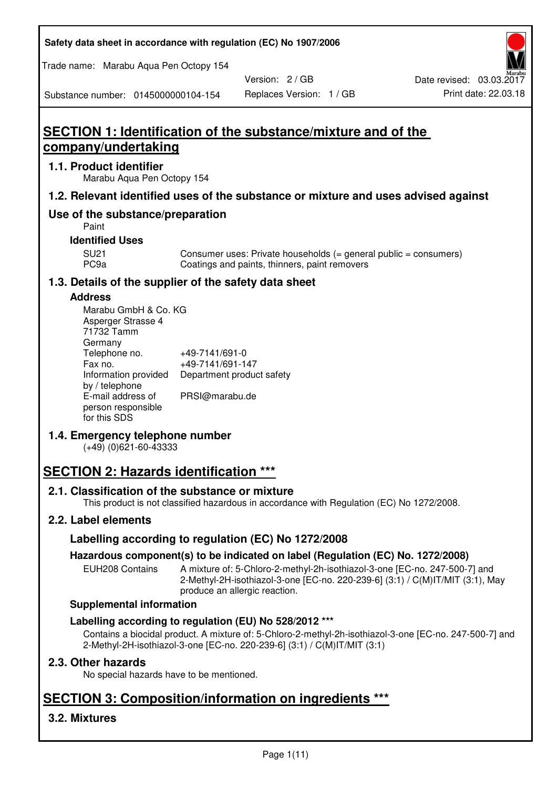**Safety data sheet in accordance with regulation (EC) No 1907/2006** 

Trade name: Marabu Aqua Pen Octopy 154

Version: 2 / GB

Substance number: 0145000000104-154

# **SECTION 1: Identification of the substance/mixture and of the company/undertaking**

## **1.1. Product identifier**

Marabu Aqua Pen Octopy 154

## **1.2. Relevant identified uses of the substance or mixture and uses advised against**

## **Use of the substance/preparation**

Paint

## **Identified Uses**

SU21 Consumer uses: Private households (= general public = consumers)<br>PC9a Coatings and paints, thinners, paint removers Coatings and paints, thinners, paint removers

## **1.3. Details of the supplier of the safety data sheet**

### **Address**

| Marabu GmbH & Co. KG |                           |
|----------------------|---------------------------|
| Asperger Strasse 4   |                           |
| 71732 Tamm           |                           |
| Germany              |                           |
| Telephone no.        | +49-7141/691-0            |
| Fax no.              | +49-7141/691-147          |
| Information provided | Department product safety |
| by / telephone       |                           |
| E-mail address of    | PRSI@marabu.de            |
| person responsible   |                           |
| for this SDS         |                           |

## **1.4. Emergency telephone number**

(+49) (0)621-60-43333

# **SECTION 2: Hazards identification \*\*\***

## **2.1. Classification of the substance or mixture**

This product is not classified hazardous in accordance with Regulation (EC) No 1272/2008.

## **2.2. Label elements**

## **Labelling according to regulation (EC) No 1272/2008**

## **Hazardous component(s) to be indicated on label (Regulation (EC) No. 1272/2008)**

EUH208 Contains A mixture of: 5-Chloro-2-methyl-2h-isothiazol-3-one [EC-no. 247-500-7] and 2-Methyl-2H-isothiazol-3-one [EC-no. 220-239-6] (3:1) / C(M)IT/MIT (3:1), May produce an allergic reaction.

#### **Supplemental information**

## **Labelling according to regulation (EU) No 528/2012 \*\*\***

Contains a biocidal product. A mixture of: 5-Chloro-2-methyl-2h-isothiazol-3-one [EC-no. 247-500-7] and 2-Methyl-2H-isothiazol-3-one [EC-no. 220-239-6] (3:1) / C(M)IT/MIT (3:1)

## **2.3. Other hazards**

No special hazards have to be mentioned.

# **SECTION 3: Composition/information on ingredients \*\*\***

## **3.2. Mixtures**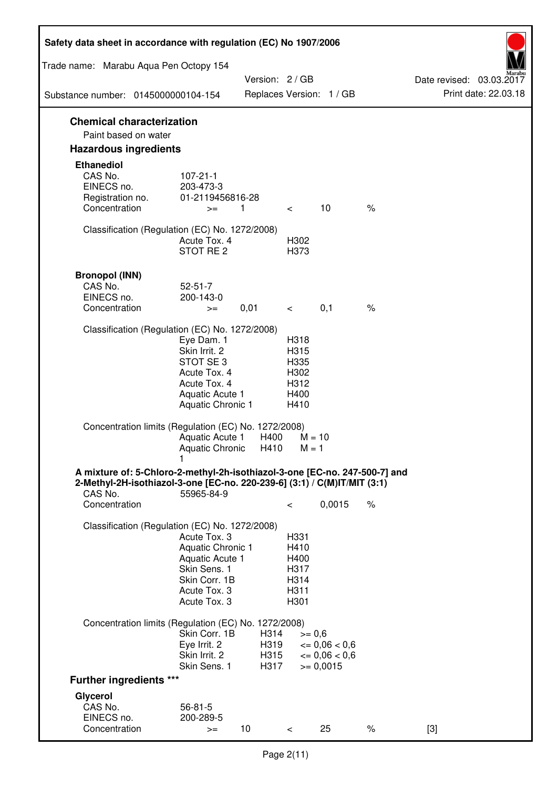| Safety data sheet in accordance with regulation (EC) No 1907/2006                                                                                                 |                                                                                                                       |                              |                                                      |                                                                  |               |                                                  |
|-------------------------------------------------------------------------------------------------------------------------------------------------------------------|-----------------------------------------------------------------------------------------------------------------------|------------------------------|------------------------------------------------------|------------------------------------------------------------------|---------------|--------------------------------------------------|
| Trade name: Marabu Aqua Pen Octopy 154                                                                                                                            |                                                                                                                       |                              |                                                      |                                                                  |               |                                                  |
| Substance number: 0145000000104-154                                                                                                                               |                                                                                                                       | Version: 2 / GB              |                                                      | Replaces Version: 1 / GB                                         |               | Date revised: 03.03.2017<br>Print date: 22.03.18 |
| <b>Chemical characterization</b>                                                                                                                                  |                                                                                                                       |                              |                                                      |                                                                  |               |                                                  |
| Paint based on water                                                                                                                                              |                                                                                                                       |                              |                                                      |                                                                  |               |                                                  |
| <b>Hazardous ingredients</b>                                                                                                                                      |                                                                                                                       |                              |                                                      |                                                                  |               |                                                  |
| <b>Ethanediol</b><br>CAS No.<br>EINECS no.<br>Registration no.<br>Concentration                                                                                   | $107 - 21 - 1$<br>203-473-3<br>01-2119456816-28<br>$>=$                                                               | 1                            | $\overline{\phantom{0}}$                             | 10                                                               | $\%$          |                                                  |
| Classification (Regulation (EC) No. 1272/2008)                                                                                                                    | Acute Tox. 4<br>STOT RE 2                                                                                             |                              | H302<br>H373                                         |                                                                  |               |                                                  |
| <b>Bronopol (INN)</b><br>CAS No.<br>EINECS no.<br>Concentration                                                                                                   | $52 - 51 - 7$<br>200-143-0<br>$>=$                                                                                    | 0,01                         | $\lt$                                                | 0,1                                                              | $\frac{1}{6}$ |                                                  |
| Classification (Regulation (EC) No. 1272/2008)                                                                                                                    |                                                                                                                       |                              |                                                      |                                                                  |               |                                                  |
|                                                                                                                                                                   | Eye Dam. 1<br>Skin Irrit. 2<br>STOT SE 3<br>Acute Tox. 4<br>Acute Tox. 4<br>Aquatic Acute 1<br>Aquatic Chronic 1      |                              | H318<br>H315<br>H335<br>H302<br>H312<br>H400<br>H410 |                                                                  |               |                                                  |
| Concentration limits (Regulation (EC) No. 1272/2008)                                                                                                              | Aquatic Acute 1<br>Aquatic Chronic                                                                                    | H400<br>H410                 | $M = 10$<br>$M = 1$                                  |                                                                  |               |                                                  |
| A mixture of: 5-Chloro-2-methyl-2h-isothiazol-3-one [EC-no. 247-500-7] and<br>2-Methyl-2H-isothiazol-3-one [EC-no. 220-239-6] (3:1) / C(M)IT/MIT (3:1)<br>CAS No. | 55965-84-9                                                                                                            |                              |                                                      |                                                                  |               |                                                  |
| Concentration                                                                                                                                                     |                                                                                                                       |                              | $\,<\,$                                              | 0,0015                                                           | $\%$          |                                                  |
| Classification (Regulation (EC) No. 1272/2008)                                                                                                                    | Acute Tox. 3<br>Aquatic Chronic 1<br>Aquatic Acute 1<br>Skin Sens. 1<br>Skin Corr. 1B<br>Acute Tox. 3<br>Acute Tox. 3 |                              | H331<br>H410<br>H400<br>H317<br>H314<br>H311<br>H301 |                                                                  |               |                                                  |
| Concentration limits (Regulation (EC) No. 1272/2008)                                                                                                              | Skin Corr. 1B<br>Eye Irrit. 2<br>Skin Irrit. 2<br>Skin Sens. 1                                                        | H314<br>H319<br>H315<br>H317 | $>= 0,6$                                             | $\epsilon = 0.06 < 0.6$<br>$\epsilon = 0.06 < 0.6$<br>$= 0,0015$ |               |                                                  |
| <b>Further ingredients ***</b>                                                                                                                                    |                                                                                                                       |                              |                                                      |                                                                  |               |                                                  |
| Glycerol                                                                                                                                                          |                                                                                                                       |                              |                                                      |                                                                  |               |                                                  |
| CAS No.<br>EINECS no.<br>Concentration                                                                                                                            | $56 - 81 - 5$<br>200-289-5<br>$>=$                                                                                    | 10                           | $\,<\,$                                              | 25                                                               | $\%$          | $[3]$                                            |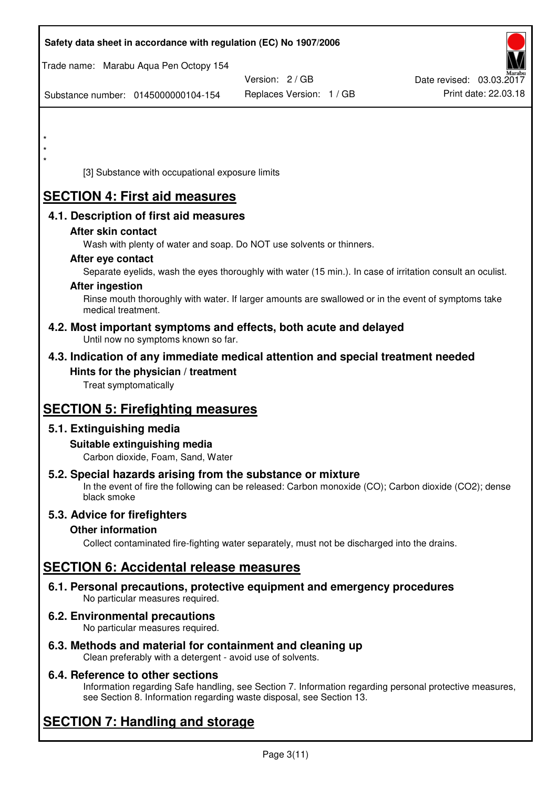| Safety data sheet in accordance with regulation (EC) No 1907/2006                                            |                                                                                                            |                          |
|--------------------------------------------------------------------------------------------------------------|------------------------------------------------------------------------------------------------------------|--------------------------|
| Trade name: Marabu Aqua Pen Octopy 154                                                                       |                                                                                                            |                          |
|                                                                                                              | Version: 2 / GB                                                                                            | Date revised: 03.03.2017 |
| Substance number: 0145000000104-154                                                                          | Replaces Version: 1 / GB                                                                                   | Print date: 22.03.18     |
|                                                                                                              |                                                                                                            |                          |
|                                                                                                              |                                                                                                            |                          |
| $\star$                                                                                                      |                                                                                                            |                          |
|                                                                                                              |                                                                                                            |                          |
| [3] Substance with occupational exposure limits                                                              |                                                                                                            |                          |
| <b>SECTION 4: First aid measures</b>                                                                         |                                                                                                            |                          |
| 4.1. Description of first aid measures                                                                       |                                                                                                            |                          |
| After skin contact                                                                                           |                                                                                                            |                          |
| Wash with plenty of water and soap. Do NOT use solvents or thinners.                                         |                                                                                                            |                          |
| After eye contact                                                                                            |                                                                                                            |                          |
|                                                                                                              | Separate eyelids, wash the eyes thoroughly with water (15 min.). In case of irritation consult an oculist. |                          |
| <b>After ingestion</b>                                                                                       |                                                                                                            |                          |
| medical treatment.                                                                                           | Rinse mouth thoroughly with water. If larger amounts are swallowed or in the event of symptoms take        |                          |
| 4.2. Most important symptoms and effects, both acute and delayed<br>Until now no symptoms known so far.      |                                                                                                            |                          |
| 4.3. Indication of any immediate medical attention and special treatment needed                              |                                                                                                            |                          |
| Hints for the physician / treatment                                                                          |                                                                                                            |                          |
| Treat symptomatically                                                                                        |                                                                                                            |                          |
|                                                                                                              |                                                                                                            |                          |
| <b>SECTION 5: Firefighting measures</b>                                                                      |                                                                                                            |                          |
| 5.1. Extinguishing media                                                                                     |                                                                                                            |                          |
| Suitable extinguishing media                                                                                 |                                                                                                            |                          |
| Carbon dioxide, Foam, Sand, Water                                                                            |                                                                                                            |                          |
| 5.2. Special hazards arising from the substance or mixture                                                   |                                                                                                            |                          |
| black smoke                                                                                                  | In the event of fire the following can be released: Carbon monoxide (CO); Carbon dioxide (CO2); dense      |                          |
| 5.3. Advice for firefighters                                                                                 |                                                                                                            |                          |
| <b>Other information</b>                                                                                     |                                                                                                            |                          |
|                                                                                                              | Collect contaminated fire-fighting water separately, must not be discharged into the drains.               |                          |
| <b>SECTION 6: Accidental release measures</b>                                                                |                                                                                                            |                          |
| 6.1. Personal precautions, protective equipment and emergency procedures<br>No particular measures required. |                                                                                                            |                          |
| 6.2. Environmental precautions<br>No particular measures required.                                           |                                                                                                            |                          |
|                                                                                                              |                                                                                                            |                          |

**6.3. Methods and material for containment and cleaning up**  Clean preferably with a detergent - avoid use of solvents.

## **6.4. Reference to other sections**

Information regarding Safe handling, see Section 7. Information regarding personal protective measures, see Section 8. Information regarding waste disposal, see Section 13.

# **SECTION 7: Handling and storage**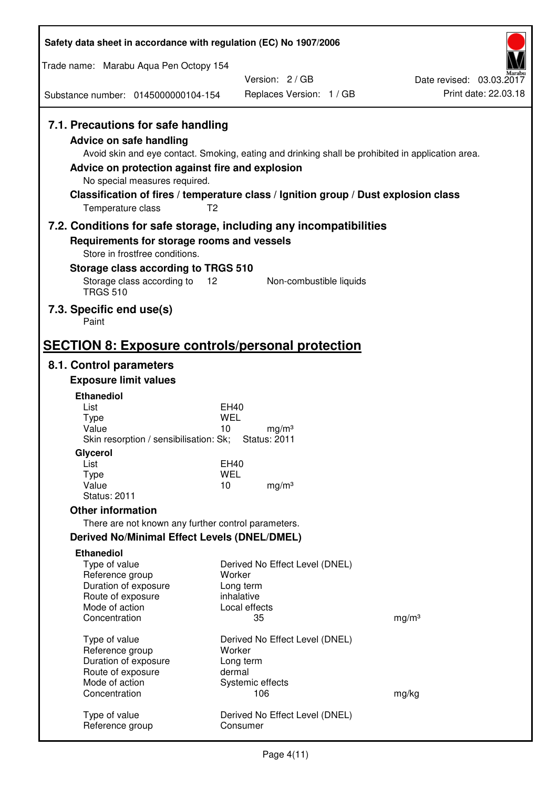| Safety data sheet in accordance with regulation (EC) No 1907/2006                                                                                                                               |                                                                                                                                                                                          |                          |
|-------------------------------------------------------------------------------------------------------------------------------------------------------------------------------------------------|------------------------------------------------------------------------------------------------------------------------------------------------------------------------------------------|--------------------------|
| Trade name: Marabu Aqua Pen Octopy 154                                                                                                                                                          |                                                                                                                                                                                          |                          |
|                                                                                                                                                                                                 | Version: 2/GB                                                                                                                                                                            | Date revised: 03.03.2017 |
| Substance number: 0145000000104-154                                                                                                                                                             | Replaces Version: 1 / GB                                                                                                                                                                 | Print date: 22.03.18     |
| 7.1. Precautions for safe handling<br><b>Advice on safe handling</b><br>Advice on protection against fire and explosion<br>No special measures required.<br>T <sub>2</sub><br>Temperature class | Avoid skin and eye contact. Smoking, eating and drinking shall be prohibited in application area.<br>Classification of fires / temperature class / Ignition group / Dust explosion class |                          |
|                                                                                                                                                                                                 | 7.2. Conditions for safe storage, including any incompatibilities                                                                                                                        |                          |
| Requirements for storage rooms and vessels<br>Store in frostfree conditions.                                                                                                                    |                                                                                                                                                                                          |                          |
| Storage class according to TRGS 510                                                                                                                                                             |                                                                                                                                                                                          |                          |
| Storage class according to<br>12<br><b>TRGS 510</b>                                                                                                                                             | Non-combustible liquids                                                                                                                                                                  |                          |
| 7.3. Specific end use(s)<br>Paint                                                                                                                                                               |                                                                                                                                                                                          |                          |
| <b>SECTION 8: Exposure controls/personal protection</b>                                                                                                                                         |                                                                                                                                                                                          |                          |
| 8.1. Control parameters                                                                                                                                                                         |                                                                                                                                                                                          |                          |
| <b>Exposure limit values</b>                                                                                                                                                                    |                                                                                                                                                                                          |                          |
| <b>Ethanediol</b>                                                                                                                                                                               |                                                                                                                                                                                          |                          |
| List<br><b>Type</b>                                                                                                                                                                             | EH40<br><b>WEL</b>                                                                                                                                                                       |                          |
| Value                                                                                                                                                                                           | 10<br>mg/m <sup>3</sup>                                                                                                                                                                  |                          |
| Skin resorption / sensibilisation: Sk;                                                                                                                                                          | <b>Status: 2011</b>                                                                                                                                                                      |                          |
| Glycerol<br>List                                                                                                                                                                                | <b>EH40</b>                                                                                                                                                                              |                          |
| <b>Type</b>                                                                                                                                                                                     | <b>WEL</b>                                                                                                                                                                               |                          |
| Value<br><b>Status: 2011</b>                                                                                                                                                                    | 10<br>mg/m <sup>3</sup>                                                                                                                                                                  |                          |
| <b>Other information</b>                                                                                                                                                                        |                                                                                                                                                                                          |                          |
| There are not known any further control parameters.                                                                                                                                             |                                                                                                                                                                                          |                          |
| <b>Derived No/Minimal Effect Levels (DNEL/DMEL)</b>                                                                                                                                             |                                                                                                                                                                                          |                          |
| <b>Ethanediol</b>                                                                                                                                                                               |                                                                                                                                                                                          |                          |
| Type of value<br>Reference group                                                                                                                                                                | Derived No Effect Level (DNEL)<br>Worker                                                                                                                                                 |                          |
| Duration of exposure                                                                                                                                                                            | Long term                                                                                                                                                                                |                          |
| Route of exposure                                                                                                                                                                               | inhalative                                                                                                                                                                               |                          |
| Mode of action<br>Concentration                                                                                                                                                                 | Local effects<br>35                                                                                                                                                                      | mg/m <sup>3</sup>        |
|                                                                                                                                                                                                 |                                                                                                                                                                                          |                          |
| Type of value<br>Reference group                                                                                                                                                                | Derived No Effect Level (DNEL)<br>Worker                                                                                                                                                 |                          |
| Duration of exposure                                                                                                                                                                            | Long term                                                                                                                                                                                |                          |
| Route of exposure                                                                                                                                                                               | dermal                                                                                                                                                                                   |                          |
| Mode of action<br>Concentration                                                                                                                                                                 | Systemic effects<br>106                                                                                                                                                                  | mg/kg                    |
|                                                                                                                                                                                                 |                                                                                                                                                                                          |                          |
| Type of value<br>Reference group                                                                                                                                                                | Derived No Effect Level (DNEL)<br>Consumer                                                                                                                                               |                          |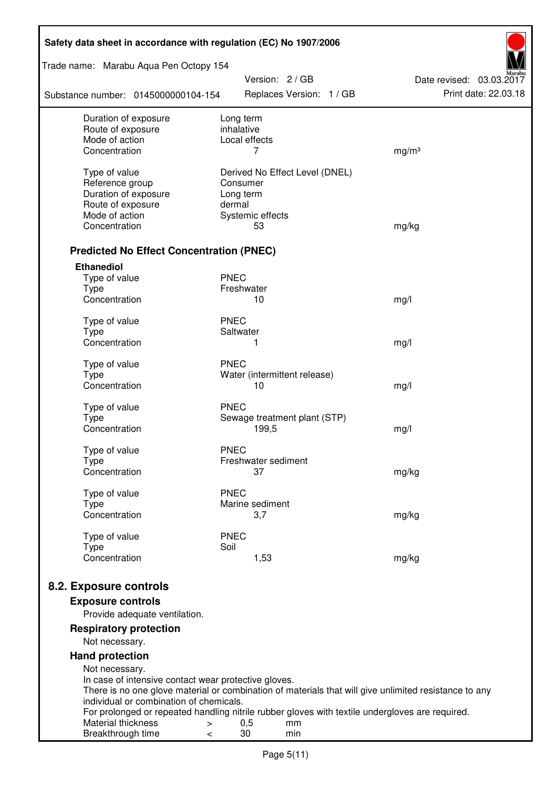| Safety data sheet in accordance with regulation (EC) No 1907/2006 |                                                                                                       |                          |  |  |
|-------------------------------------------------------------------|-------------------------------------------------------------------------------------------------------|--------------------------|--|--|
| Trade name: Marabu Aqua Pen Octopy 154                            | Version: 2 / GB                                                                                       | Date revised: 03.03.2017 |  |  |
| Substance number: 0145000000104-154                               | Replaces Version: 1 / GB                                                                              | Print date: 22.03.18     |  |  |
| Duration of exposure                                              | Long term                                                                                             |                          |  |  |
| Route of exposure<br>Mode of action                               | inhalative<br>Local effects                                                                           |                          |  |  |
| Concentration                                                     | 7                                                                                                     | mg/m <sup>3</sup>        |  |  |
|                                                                   |                                                                                                       |                          |  |  |
| Type of value                                                     | Derived No Effect Level (DNEL)                                                                        |                          |  |  |
| Reference group                                                   | Consumer                                                                                              |                          |  |  |
| Duration of exposure<br>Route of exposure                         | Long term<br>dermal                                                                                   |                          |  |  |
| Mode of action                                                    | Systemic effects                                                                                      |                          |  |  |
| Concentration                                                     | 53                                                                                                    | mg/kg                    |  |  |
|                                                                   |                                                                                                       |                          |  |  |
| <b>Predicted No Effect Concentration (PNEC)</b>                   |                                                                                                       |                          |  |  |
| <b>Ethanediol</b>                                                 |                                                                                                       |                          |  |  |
| Type of value                                                     | <b>PNEC</b>                                                                                           |                          |  |  |
| <b>Type</b><br>Concentration                                      | Freshwater<br>10                                                                                      | mg/l                     |  |  |
|                                                                   |                                                                                                       |                          |  |  |
| Type of value                                                     | <b>PNEC</b>                                                                                           |                          |  |  |
| <b>Type</b>                                                       | Saltwater                                                                                             |                          |  |  |
| Concentration                                                     | 1                                                                                                     | mg/l                     |  |  |
| Type of value                                                     | <b>PNEC</b>                                                                                           |                          |  |  |
| <b>Type</b>                                                       | Water (intermittent release)                                                                          |                          |  |  |
| Concentration                                                     | 10                                                                                                    | mg/l                     |  |  |
| Type of value                                                     | <b>PNEC</b>                                                                                           |                          |  |  |
| <b>Type</b>                                                       | Sewage treatment plant (STP)                                                                          |                          |  |  |
| Concentration                                                     | 199,5                                                                                                 | mg/l                     |  |  |
| Type of value                                                     | <b>PNEC</b>                                                                                           |                          |  |  |
| Type                                                              | Freshwater sediment                                                                                   |                          |  |  |
| Concentration                                                     | 37                                                                                                    | mg/kg                    |  |  |
|                                                                   |                                                                                                       |                          |  |  |
| Type of value<br><b>Type</b>                                      | <b>PNEC</b><br>Marine sediment                                                                        |                          |  |  |
| Concentration                                                     | 3,7                                                                                                   | mg/kg                    |  |  |
|                                                                   |                                                                                                       |                          |  |  |
| Type of value                                                     | <b>PNEC</b>                                                                                           |                          |  |  |
| <b>Type</b><br>Concentration                                      | Soil<br>1,53                                                                                          | mg/kg                    |  |  |
|                                                                   |                                                                                                       |                          |  |  |
| 8.2. Exposure controls                                            |                                                                                                       |                          |  |  |
| <b>Exposure controls</b>                                          |                                                                                                       |                          |  |  |
| Provide adequate ventilation.                                     |                                                                                                       |                          |  |  |
| <b>Respiratory protection</b>                                     |                                                                                                       |                          |  |  |
| Not necessary.                                                    |                                                                                                       |                          |  |  |
| <b>Hand protection</b>                                            |                                                                                                       |                          |  |  |
| Not necessary.                                                    |                                                                                                       |                          |  |  |
| In case of intensive contact wear protective gloves.              |                                                                                                       |                          |  |  |
| individual or combination of chemicals.                           | There is no one glove material or combination of materials that will give unlimited resistance to any |                          |  |  |
|                                                                   | For prolonged or repeated handling nitrile rubber gloves with textile undergloves are required.       |                          |  |  |
| Material thickness<br>>                                           | 0,5<br>mm                                                                                             |                          |  |  |
| Breakthrough time<br><                                            | 30<br>min                                                                                             |                          |  |  |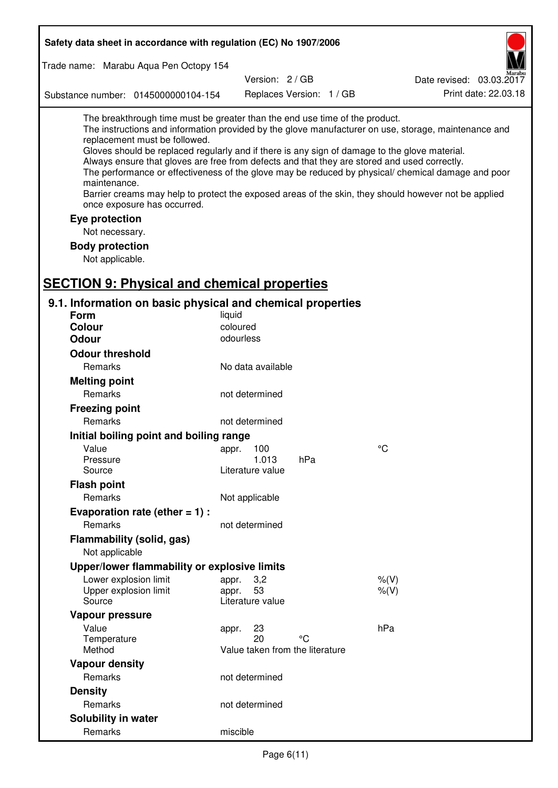| Safety data sheet in accordance with regulation (EC) No 1907/2006                                                                                                                                                                                                                                                                                                                                                                                                                                                                                                                                                                                                                  |  |  |  |  |
|------------------------------------------------------------------------------------------------------------------------------------------------------------------------------------------------------------------------------------------------------------------------------------------------------------------------------------------------------------------------------------------------------------------------------------------------------------------------------------------------------------------------------------------------------------------------------------------------------------------------------------------------------------------------------------|--|--|--|--|
| Trade name: Marabu Aqua Pen Octopy 154                                                                                                                                                                                                                                                                                                                                                                                                                                                                                                                                                                                                                                             |  |  |  |  |
| Version: 2/GB<br>Date revised: 03.03.2017                                                                                                                                                                                                                                                                                                                                                                                                                                                                                                                                                                                                                                          |  |  |  |  |
| Print date: 22.03.18<br>Replaces Version: 1 / GB<br>Substance number: 0145000000104-154                                                                                                                                                                                                                                                                                                                                                                                                                                                                                                                                                                                            |  |  |  |  |
| The breakthrough time must be greater than the end use time of the product.<br>The instructions and information provided by the glove manufacturer on use, storage, maintenance and<br>replacement must be followed.<br>Gloves should be replaced regularly and if there is any sign of damage to the glove material.<br>Always ensure that gloves are free from defects and that they are stored and used correctly.<br>The performance or effectiveness of the glove may be reduced by physical/ chemical damage and poor<br>maintenance.<br>Barrier creams may help to protect the exposed areas of the skin, they should however not be applied<br>once exposure has occurred. |  |  |  |  |
| Eye protection                                                                                                                                                                                                                                                                                                                                                                                                                                                                                                                                                                                                                                                                     |  |  |  |  |
| Not necessary.                                                                                                                                                                                                                                                                                                                                                                                                                                                                                                                                                                                                                                                                     |  |  |  |  |
| <b>Body protection</b>                                                                                                                                                                                                                                                                                                                                                                                                                                                                                                                                                                                                                                                             |  |  |  |  |
| Not applicable.                                                                                                                                                                                                                                                                                                                                                                                                                                                                                                                                                                                                                                                                    |  |  |  |  |
|                                                                                                                                                                                                                                                                                                                                                                                                                                                                                                                                                                                                                                                                                    |  |  |  |  |
| <b>SECTION 9: Physical and chemical properties</b>                                                                                                                                                                                                                                                                                                                                                                                                                                                                                                                                                                                                                                 |  |  |  |  |
| 9.1. Information on basic physical and chemical properties                                                                                                                                                                                                                                                                                                                                                                                                                                                                                                                                                                                                                         |  |  |  |  |
| Form<br>liquid                                                                                                                                                                                                                                                                                                                                                                                                                                                                                                                                                                                                                                                                     |  |  |  |  |
| coloured<br><b>Colour</b><br>odourless<br><b>Odour</b>                                                                                                                                                                                                                                                                                                                                                                                                                                                                                                                                                                                                                             |  |  |  |  |
|                                                                                                                                                                                                                                                                                                                                                                                                                                                                                                                                                                                                                                                                                    |  |  |  |  |
| <b>Odour threshold</b>                                                                                                                                                                                                                                                                                                                                                                                                                                                                                                                                                                                                                                                             |  |  |  |  |
| Remarks<br>No data available                                                                                                                                                                                                                                                                                                                                                                                                                                                                                                                                                                                                                                                       |  |  |  |  |
| <b>Melting point</b>                                                                                                                                                                                                                                                                                                                                                                                                                                                                                                                                                                                                                                                               |  |  |  |  |
| Remarks<br>not determined                                                                                                                                                                                                                                                                                                                                                                                                                                                                                                                                                                                                                                                          |  |  |  |  |
| <b>Freezing point</b>                                                                                                                                                                                                                                                                                                                                                                                                                                                                                                                                                                                                                                                              |  |  |  |  |
| Remarks<br>not determined                                                                                                                                                                                                                                                                                                                                                                                                                                                                                                                                                                                                                                                          |  |  |  |  |
| Initial boiling point and boiling range                                                                                                                                                                                                                                                                                                                                                                                                                                                                                                                                                                                                                                            |  |  |  |  |
| $\rm ^{\circ}C$<br>Value<br>appr. 100<br>hPa<br>1.013<br>Pressure                                                                                                                                                                                                                                                                                                                                                                                                                                                                                                                                                                                                                  |  |  |  |  |
| Source<br>Literature value                                                                                                                                                                                                                                                                                                                                                                                                                                                                                                                                                                                                                                                         |  |  |  |  |
| <b>Flash point</b>                                                                                                                                                                                                                                                                                                                                                                                                                                                                                                                                                                                                                                                                 |  |  |  |  |
| Remarks<br>Not applicable                                                                                                                                                                                                                                                                                                                                                                                                                                                                                                                                                                                                                                                          |  |  |  |  |
| Evaporation rate (ether $= 1$ ) :                                                                                                                                                                                                                                                                                                                                                                                                                                                                                                                                                                                                                                                  |  |  |  |  |
| Remarks<br>not determined                                                                                                                                                                                                                                                                                                                                                                                                                                                                                                                                                                                                                                                          |  |  |  |  |
| Flammability (solid, gas)                                                                                                                                                                                                                                                                                                                                                                                                                                                                                                                                                                                                                                                          |  |  |  |  |
| Not applicable                                                                                                                                                                                                                                                                                                                                                                                                                                                                                                                                                                                                                                                                     |  |  |  |  |
| Upper/lower flammability or explosive limits                                                                                                                                                                                                                                                                                                                                                                                                                                                                                                                                                                                                                                       |  |  |  |  |
| Lower explosion limit<br>3,2<br>$%$ (V)<br>appr.                                                                                                                                                                                                                                                                                                                                                                                                                                                                                                                                                                                                                                   |  |  |  |  |
| 53<br>$%$ $(V)$<br>Upper explosion limit<br>appr.                                                                                                                                                                                                                                                                                                                                                                                                                                                                                                                                                                                                                                  |  |  |  |  |
| Literature value<br>Source                                                                                                                                                                                                                                                                                                                                                                                                                                                                                                                                                                                                                                                         |  |  |  |  |
| Vapour pressure                                                                                                                                                                                                                                                                                                                                                                                                                                                                                                                                                                                                                                                                    |  |  |  |  |
| hPa<br>Value<br>23<br>appr.<br>°C                                                                                                                                                                                                                                                                                                                                                                                                                                                                                                                                                                                                                                                  |  |  |  |  |
| 20<br>Temperature<br>Method<br>Value taken from the literature                                                                                                                                                                                                                                                                                                                                                                                                                                                                                                                                                                                                                     |  |  |  |  |
| <b>Vapour density</b>                                                                                                                                                                                                                                                                                                                                                                                                                                                                                                                                                                                                                                                              |  |  |  |  |
| Remarks<br>not determined                                                                                                                                                                                                                                                                                                                                                                                                                                                                                                                                                                                                                                                          |  |  |  |  |
| <b>Density</b>                                                                                                                                                                                                                                                                                                                                                                                                                                                                                                                                                                                                                                                                     |  |  |  |  |
| Remarks<br>not determined                                                                                                                                                                                                                                                                                                                                                                                                                                                                                                                                                                                                                                                          |  |  |  |  |
| Solubility in water                                                                                                                                                                                                                                                                                                                                                                                                                                                                                                                                                                                                                                                                |  |  |  |  |
| Remarks<br>miscible                                                                                                                                                                                                                                                                                                                                                                                                                                                                                                                                                                                                                                                                |  |  |  |  |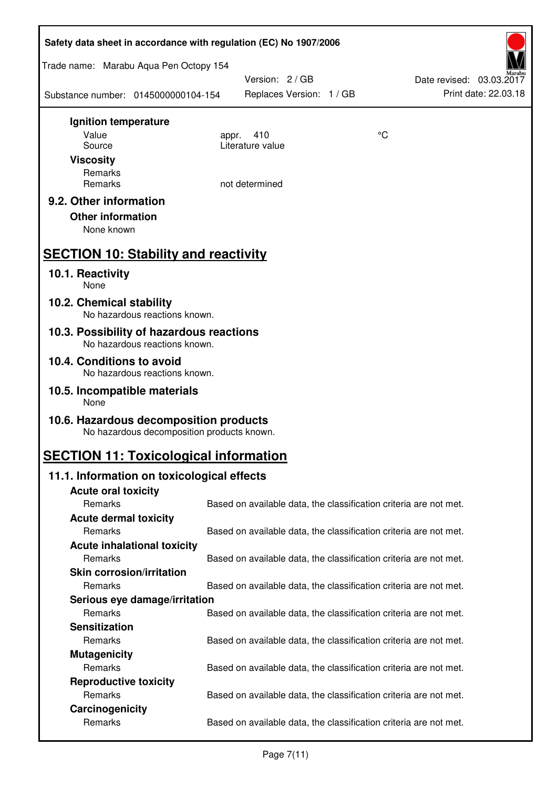| Safety data sheet in accordance with regulation (EC) No 1907/2006                    |       |                                                                   |    |                                                  |
|--------------------------------------------------------------------------------------|-------|-------------------------------------------------------------------|----|--------------------------------------------------|
| Trade name: Marabu Aqua Pen Octopy 154                                               |       |                                                                   |    |                                                  |
| Substance number: 0145000000104-154                                                  |       | Version: 2 / GB<br>Replaces Version: 1 / GB                       |    | Date revised: 03.03.2017<br>Print date: 22.03.18 |
| Ignition temperature                                                                 |       |                                                                   |    |                                                  |
| Value<br>Source                                                                      | appr. | 410<br>Literature value                                           | °C |                                                  |
| <b>Viscosity</b>                                                                     |       |                                                                   |    |                                                  |
| Remarks                                                                              |       |                                                                   |    |                                                  |
| Remarks                                                                              |       | not determined                                                    |    |                                                  |
| 9.2. Other information                                                               |       |                                                                   |    |                                                  |
| <b>Other information</b><br>None known                                               |       |                                                                   |    |                                                  |
|                                                                                      |       |                                                                   |    |                                                  |
| <b>SECTION 10: Stability and reactivity</b>                                          |       |                                                                   |    |                                                  |
| 10.1. Reactivity<br>None                                                             |       |                                                                   |    |                                                  |
| 10.2. Chemical stability<br>No hazardous reactions known.                            |       |                                                                   |    |                                                  |
| 10.3. Possibility of hazardous reactions<br>No hazardous reactions known.            |       |                                                                   |    |                                                  |
| 10.4. Conditions to avoid<br>No hazardous reactions known.                           |       |                                                                   |    |                                                  |
| 10.5. Incompatible materials<br>None                                                 |       |                                                                   |    |                                                  |
| 10.6. Hazardous decomposition products<br>No hazardous decomposition products known. |       |                                                                   |    |                                                  |
| <b>SECTION 11: Toxicological information</b>                                         |       |                                                                   |    |                                                  |
| 11.1. Information on toxicological effects                                           |       |                                                                   |    |                                                  |
| <b>Acute oral toxicity</b>                                                           |       |                                                                   |    |                                                  |
| Remarks                                                                              |       | Based on available data, the classification criteria are not met. |    |                                                  |
| <b>Acute dermal toxicity</b><br>Remarks                                              |       | Based on available data, the classification criteria are not met. |    |                                                  |
| <b>Acute inhalational toxicity</b>                                                   |       |                                                                   |    |                                                  |
| Remarks                                                                              |       | Based on available data, the classification criteria are not met. |    |                                                  |
| <b>Skin corrosion/irritation</b>                                                     |       |                                                                   |    |                                                  |
| Remarks                                                                              |       | Based on available data, the classification criteria are not met. |    |                                                  |
| Serious eye damage/irritation                                                        |       |                                                                   |    |                                                  |
| Remarks                                                                              |       | Based on available data, the classification criteria are not met. |    |                                                  |
| <b>Sensitization</b>                                                                 |       |                                                                   |    |                                                  |
| Remarks                                                                              |       | Based on available data, the classification criteria are not met. |    |                                                  |
| <b>Mutagenicity</b><br>Remarks                                                       |       | Based on available data, the classification criteria are not met. |    |                                                  |
| <b>Reproductive toxicity</b>                                                         |       |                                                                   |    |                                                  |
| Remarks                                                                              |       | Based on available data, the classification criteria are not met. |    |                                                  |
| Carcinogenicity                                                                      |       |                                                                   |    |                                                  |
| Remarks                                                                              |       | Based on available data, the classification criteria are not met. |    |                                                  |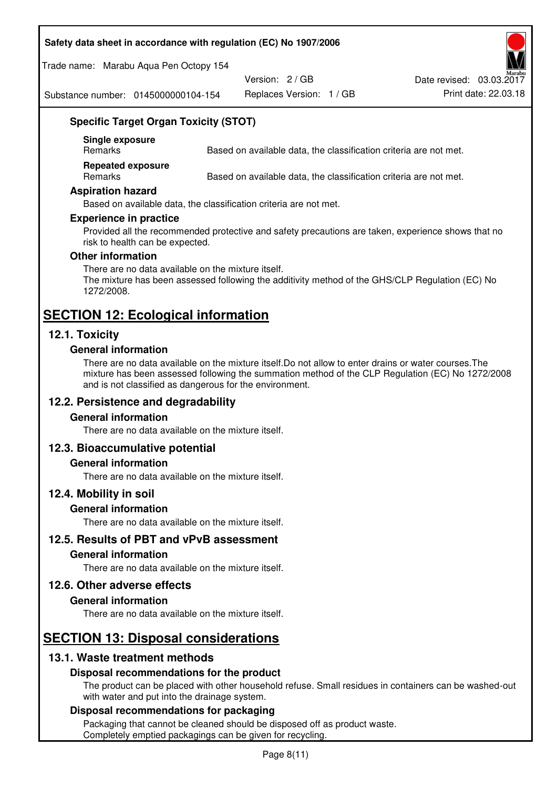#### **Safety data sheet in accordance with regulation (EC) No 1907/2006**

Trade name: Marabu Aqua Pen Octopy 154

Version: 2 / GB

Replaces Version: 1 / GB Print date: 22.03.18 Date revised: 03.03.2017

Substance number: 0145000000104-154

## **Specific Target Organ Toxicity (STOT)**

**Single exposure** 

Based on available data, the classification criteria are not met.

**Repeated exposure** 

Remarks Based on available data, the classification criteria are not met.

#### **Aspiration hazard**

Based on available data, the classification criteria are not met.

#### **Experience in practice**

Provided all the recommended protective and safety precautions are taken, experience shows that no risk to health can be expected.

#### **Other information**

There are no data available on the mixture itself. The mixture has been assessed following the additivity method of the GHS/CLP Regulation (EC) No 1272/2008.

## **SECTION 12: Ecological information**

## **12.1. Toxicity**

#### **General information**

There are no data available on the mixture itself.Do not allow to enter drains or water courses.The mixture has been assessed following the summation method of the CLP Regulation (EC) No 1272/2008 and is not classified as dangerous for the environment.

## **12.2. Persistence and degradability**

#### **General information**

There are no data available on the mixture itself.

#### **12.3. Bioaccumulative potential**

#### **General information**

There are no data available on the mixture itself.

#### **12.4. Mobility in soil**

#### **General information**

There are no data available on the mixture itself.

**12.5. Results of PBT and vPvB assessment** 

#### **General information**

There are no data available on the mixture itself.

#### **12.6. Other adverse effects**

#### **General information**

There are no data available on the mixture itself.

# **SECTION 13: Disposal considerations**

## **13.1. Waste treatment methods**

#### **Disposal recommendations for the product**

The product can be placed with other household refuse. Small residues in containers can be washed-out with water and put into the drainage system.

#### **Disposal recommendations for packaging**

Packaging that cannot be cleaned should be disposed off as product waste. Completely emptied packagings can be given for recycling.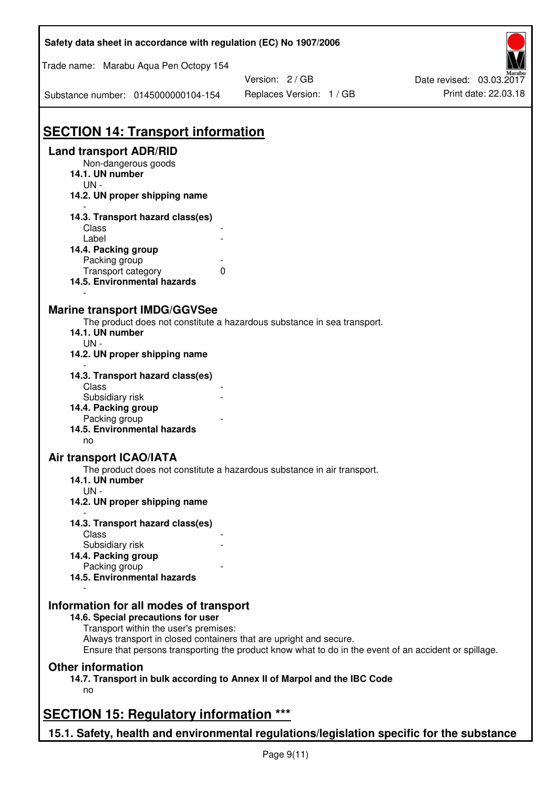| Safety data sheet in accordance with regulation (EC) No 1907/2006                                           |                                                                                                       |                          |
|-------------------------------------------------------------------------------------------------------------|-------------------------------------------------------------------------------------------------------|--------------------------|
| Trade name: Marabu Aqua Pen Octopy 154                                                                      | Version: 2 / GB                                                                                       | Date revised: 03.03.2017 |
| Substance number: 0145000000104-154                                                                         | Replaces Version: 1 / GB                                                                              | Print date: 22.03.18     |
| <b>SECTION 14: Transport information</b>                                                                    |                                                                                                       |                          |
| <b>Land transport ADR/RID</b><br>Non-dangerous goods<br>14.1. UN number                                     |                                                                                                       |                          |
| $UN -$<br>14.2. UN proper shipping name                                                                     |                                                                                                       |                          |
| 14.3. Transport hazard class(es)<br>Class                                                                   |                                                                                                       |                          |
| Label<br>14.4. Packing group<br>Packing group                                                               |                                                                                                       |                          |
| Transport category<br>0<br>14.5. Environmental hazards                                                      |                                                                                                       |                          |
| <b>Marine transport IMDG/GGVSee</b><br>14.1. UN number<br>$UN -$                                            | The product does not constitute a hazardous substance in sea transport.                               |                          |
| 14.2. UN proper shipping name                                                                               |                                                                                                       |                          |
| 14.3. Transport hazard class(es)<br>Class<br>Subsidiary risk                                                |                                                                                                       |                          |
| 14.4. Packing group<br>Packing group<br>14.5. Environmental hazards                                         |                                                                                                       |                          |
| no<br>Air transport ICAO/IATA<br>14.1. UN number                                                            | The product does not constitute a hazardous substance in air transport.                               |                          |
| $UN -$<br>14.2. UN proper shipping name                                                                     |                                                                                                       |                          |
| 14.3. Transport hazard class(es)<br>Class                                                                   |                                                                                                       |                          |
| Subsidiary risk<br>14.4. Packing group<br>Packing group                                                     |                                                                                                       |                          |
| 14.5. Environmental hazards                                                                                 |                                                                                                       |                          |
| Information for all modes of transport<br>14.6. Special precautions for user                                |                                                                                                       |                          |
| Transport within the user's premises:<br>Always transport in closed containers that are upright and secure. | Ensure that persons transporting the product know what to do in the event of an accident or spillage. |                          |
| <b>Other information</b><br>no                                                                              | 14.7. Transport in bulk according to Annex II of Marpol and the IBC Code                              |                          |
| <b>SECTION 15: Regulatory information ***</b>                                                               |                                                                                                       |                          |
| 15.1. Safety, health and environmental regulations/legislation specific for the substance                   |                                                                                                       |                          |

 $\mathbf{r}$ 

٦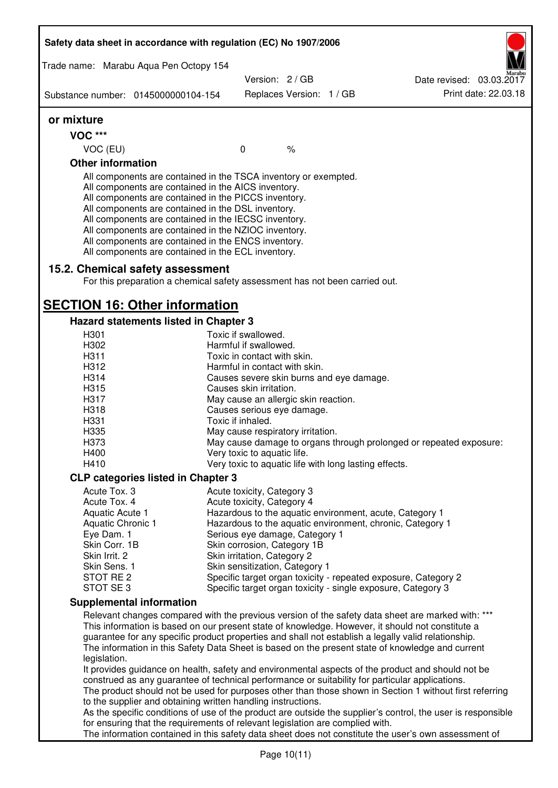| Safety data sheet in accordance with regulation (EC) No 1907/2006                                                                                                                                                                                                                                                                                                                                                                                                 |                                                 |                          |                                                       |                                                                                                                                                                                                                                                                                                             |
|-------------------------------------------------------------------------------------------------------------------------------------------------------------------------------------------------------------------------------------------------------------------------------------------------------------------------------------------------------------------------------------------------------------------------------------------------------------------|-------------------------------------------------|--------------------------|-------------------------------------------------------|-------------------------------------------------------------------------------------------------------------------------------------------------------------------------------------------------------------------------------------------------------------------------------------------------------------|
| Trade name: Marabu Aqua Pen Octopy 154                                                                                                                                                                                                                                                                                                                                                                                                                            |                                                 |                          |                                                       |                                                                                                                                                                                                                                                                                                             |
|                                                                                                                                                                                                                                                                                                                                                                                                                                                                   | Version: 2 / GB                                 |                          |                                                       | Date revised: 03.03.2017                                                                                                                                                                                                                                                                                    |
| Substance number: 0145000000104-154                                                                                                                                                                                                                                                                                                                                                                                                                               |                                                 | Replaces Version: 1 / GB |                                                       | Print date: 22.03.18                                                                                                                                                                                                                                                                                        |
| or mixture                                                                                                                                                                                                                                                                                                                                                                                                                                                        |                                                 |                          |                                                       |                                                                                                                                                                                                                                                                                                             |
| <b>VOC ***</b>                                                                                                                                                                                                                                                                                                                                                                                                                                                    |                                                 |                          |                                                       |                                                                                                                                                                                                                                                                                                             |
| VOC (EU)                                                                                                                                                                                                                                                                                                                                                                                                                                                          | $\mathbf 0$                                     | $\%$                     |                                                       |                                                                                                                                                                                                                                                                                                             |
| <b>Other information</b>                                                                                                                                                                                                                                                                                                                                                                                                                                          |                                                 |                          |                                                       |                                                                                                                                                                                                                                                                                                             |
| All components are contained in the TSCA inventory or exempted.<br>All components are contained in the AICS inventory.<br>All components are contained in the PICCS inventory.<br>All components are contained in the DSL inventory.<br>All components are contained in the IECSC inventory.<br>All components are contained in the NZIOC inventory.<br>All components are contained in the ENCS inventory.<br>All components are contained in the ECL inventory. |                                                 |                          |                                                       |                                                                                                                                                                                                                                                                                                             |
| 15.2. Chemical safety assessment<br>For this preparation a chemical safety assessment has not been carried out.                                                                                                                                                                                                                                                                                                                                                   |                                                 |                          |                                                       |                                                                                                                                                                                                                                                                                                             |
| <b>SECTION 16: Other information</b>                                                                                                                                                                                                                                                                                                                                                                                                                              |                                                 |                          |                                                       |                                                                                                                                                                                                                                                                                                             |
| Hazard statements listed in Chapter 3                                                                                                                                                                                                                                                                                                                                                                                                                             |                                                 |                          |                                                       |                                                                                                                                                                                                                                                                                                             |
| H301                                                                                                                                                                                                                                                                                                                                                                                                                                                              | Toxic if swallowed.                             |                          |                                                       |                                                                                                                                                                                                                                                                                                             |
| H302                                                                                                                                                                                                                                                                                                                                                                                                                                                              | Harmful if swallowed.                           |                          |                                                       |                                                                                                                                                                                                                                                                                                             |
| H311                                                                                                                                                                                                                                                                                                                                                                                                                                                              | Toxic in contact with skin.                     |                          |                                                       |                                                                                                                                                                                                                                                                                                             |
| H312                                                                                                                                                                                                                                                                                                                                                                                                                                                              | Harmful in contact with skin.                   |                          |                                                       |                                                                                                                                                                                                                                                                                                             |
| H314                                                                                                                                                                                                                                                                                                                                                                                                                                                              |                                                 |                          | Causes severe skin burns and eye damage.              |                                                                                                                                                                                                                                                                                                             |
| H315                                                                                                                                                                                                                                                                                                                                                                                                                                                              | Causes skin irritation.                         |                          |                                                       |                                                                                                                                                                                                                                                                                                             |
| H317                                                                                                                                                                                                                                                                                                                                                                                                                                                              | May cause an allergic skin reaction.            |                          |                                                       |                                                                                                                                                                                                                                                                                                             |
| H318<br>H331                                                                                                                                                                                                                                                                                                                                                                                                                                                      | Causes serious eye damage.<br>Toxic if inhaled. |                          |                                                       |                                                                                                                                                                                                                                                                                                             |
| H335                                                                                                                                                                                                                                                                                                                                                                                                                                                              |                                                 |                          |                                                       |                                                                                                                                                                                                                                                                                                             |
| H373                                                                                                                                                                                                                                                                                                                                                                                                                                                              | May cause respiratory irritation.               |                          |                                                       | May cause damage to organs through prolonged or repeated exposure:                                                                                                                                                                                                                                          |
| H400                                                                                                                                                                                                                                                                                                                                                                                                                                                              | Very toxic to aquatic life.                     |                          |                                                       |                                                                                                                                                                                                                                                                                                             |
| H410                                                                                                                                                                                                                                                                                                                                                                                                                                                              |                                                 |                          | Very toxic to aquatic life with long lasting effects. |                                                                                                                                                                                                                                                                                                             |
| <b>CLP categories listed in Chapter 3</b>                                                                                                                                                                                                                                                                                                                                                                                                                         |                                                 |                          |                                                       |                                                                                                                                                                                                                                                                                                             |
| Acute Tox. 3                                                                                                                                                                                                                                                                                                                                                                                                                                                      | Acute toxicity, Category 3                      |                          |                                                       |                                                                                                                                                                                                                                                                                                             |
| Acute Tox. 4                                                                                                                                                                                                                                                                                                                                                                                                                                                      | Acute toxicity, Category 4                      |                          |                                                       |                                                                                                                                                                                                                                                                                                             |
| Aquatic Acute 1                                                                                                                                                                                                                                                                                                                                                                                                                                                   |                                                 |                          |                                                       | Hazardous to the aquatic environment, acute, Category 1                                                                                                                                                                                                                                                     |
| Aquatic Chronic 1                                                                                                                                                                                                                                                                                                                                                                                                                                                 |                                                 |                          |                                                       | Hazardous to the aquatic environment, chronic, Category 1                                                                                                                                                                                                                                                   |
| Eye Dam. 1                                                                                                                                                                                                                                                                                                                                                                                                                                                        | Serious eye damage, Category 1                  |                          |                                                       |                                                                                                                                                                                                                                                                                                             |
| Skin Corr. 1B                                                                                                                                                                                                                                                                                                                                                                                                                                                     | Skin corrosion, Category 1B                     |                          |                                                       |                                                                                                                                                                                                                                                                                                             |
| Skin Irrit. 2                                                                                                                                                                                                                                                                                                                                                                                                                                                     | Skin irritation, Category 2                     |                          |                                                       |                                                                                                                                                                                                                                                                                                             |
| Skin Sens. 1                                                                                                                                                                                                                                                                                                                                                                                                                                                      | Skin sensitization, Category 1                  |                          |                                                       |                                                                                                                                                                                                                                                                                                             |
| STOT RE 2                                                                                                                                                                                                                                                                                                                                                                                                                                                         |                                                 |                          |                                                       | Specific target organ toxicity - repeated exposure, Category 2                                                                                                                                                                                                                                              |
| STOT SE3                                                                                                                                                                                                                                                                                                                                                                                                                                                          |                                                 |                          |                                                       | Specific target organ toxicity - single exposure, Category 3                                                                                                                                                                                                                                                |
| <b>Supplemental information</b>                                                                                                                                                                                                                                                                                                                                                                                                                                   |                                                 |                          |                                                       |                                                                                                                                                                                                                                                                                                             |
|                                                                                                                                                                                                                                                                                                                                                                                                                                                                   |                                                 |                          |                                                       | Relevant changes compared with the previous version of the safety data sheet are marked with: ***                                                                                                                                                                                                           |
| legislation.                                                                                                                                                                                                                                                                                                                                                                                                                                                      |                                                 |                          |                                                       | This information is based on our present state of knowledge. However, it should not constitute a<br>guarantee for any specific product properties and shall not establish a legally valid relationship.<br>The information in this Safety Data Sheet is based on the present state of knowledge and current |
|                                                                                                                                                                                                                                                                                                                                                                                                                                                                   |                                                 |                          |                                                       | It provides guidance on health, safety and environmental aspects of the product and should not be                                                                                                                                                                                                           |
| construed as any guarantee of technical performance or suitability for particular applications.                                                                                                                                                                                                                                                                                                                                                                   |                                                 |                          |                                                       |                                                                                                                                                                                                                                                                                                             |
|                                                                                                                                                                                                                                                                                                                                                                                                                                                                   |                                                 |                          |                                                       | The product should not be used for purposes other than those shown in Section 1 without first referring                                                                                                                                                                                                     |
| to the supplier and obtaining written handling instructions.                                                                                                                                                                                                                                                                                                                                                                                                      |                                                 |                          |                                                       |                                                                                                                                                                                                                                                                                                             |
|                                                                                                                                                                                                                                                                                                                                                                                                                                                                   |                                                 |                          |                                                       | As the specific conditions of use of the product are outside the supplier's control, the user is responsible                                                                                                                                                                                                |
| for ensuring that the requirements of relevant legislation are complied with.                                                                                                                                                                                                                                                                                                                                                                                     |                                                 |                          |                                                       | The information contained in this safety data sheet does not constitute the user's own assessment of                                                                                                                                                                                                        |